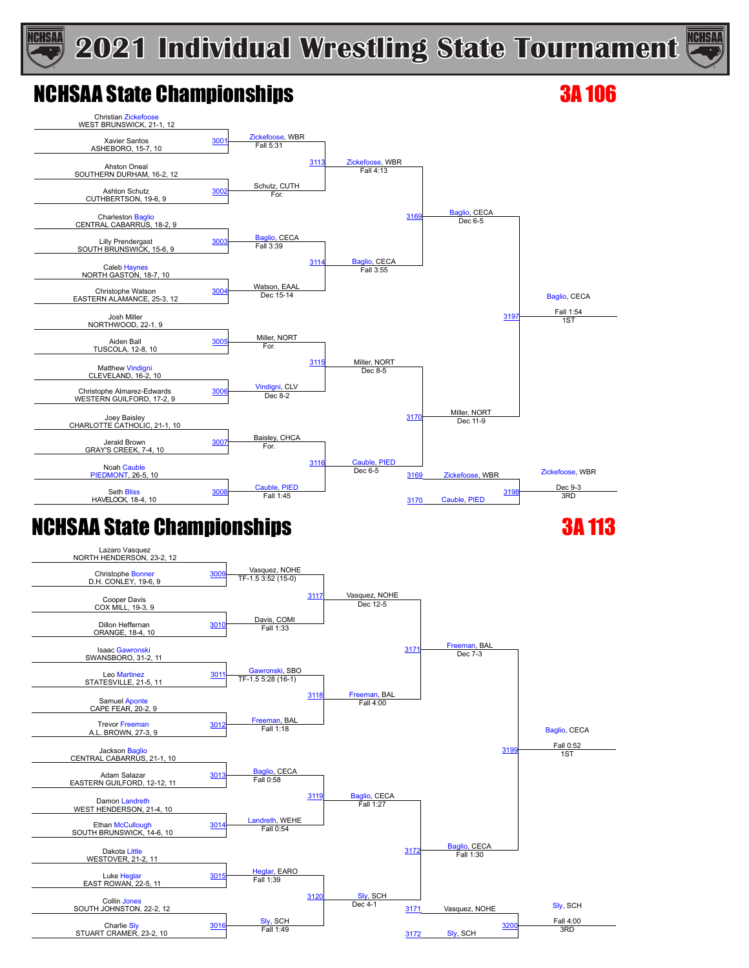

### NCHSAA State Championships 3A 106

**ICHSAA** 



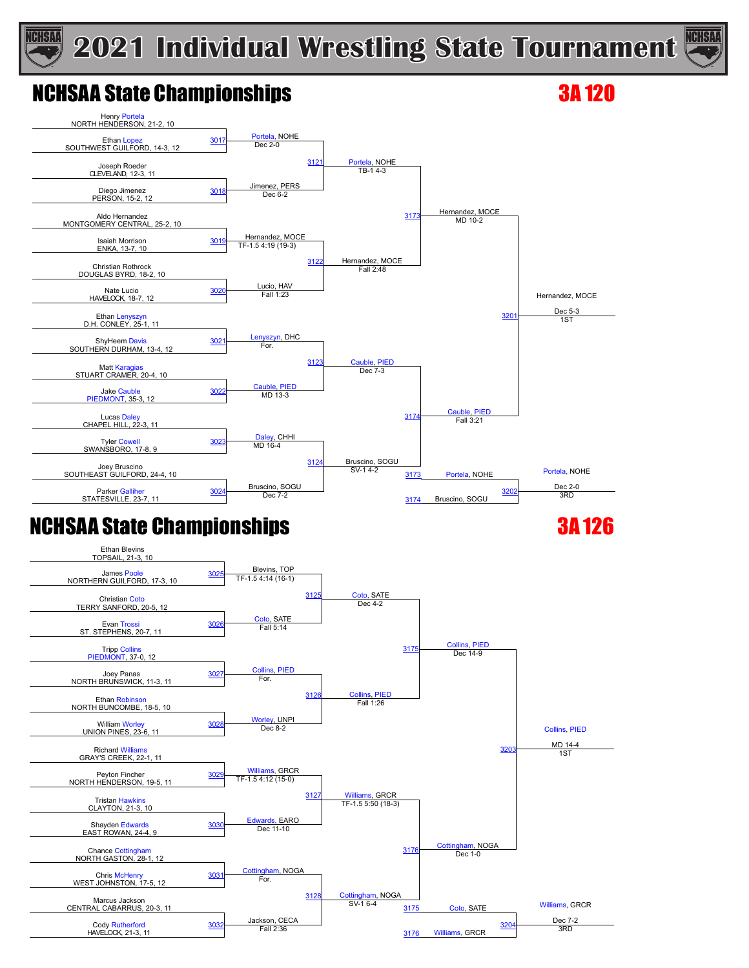



#### NCHSAA State Championships 3A 120





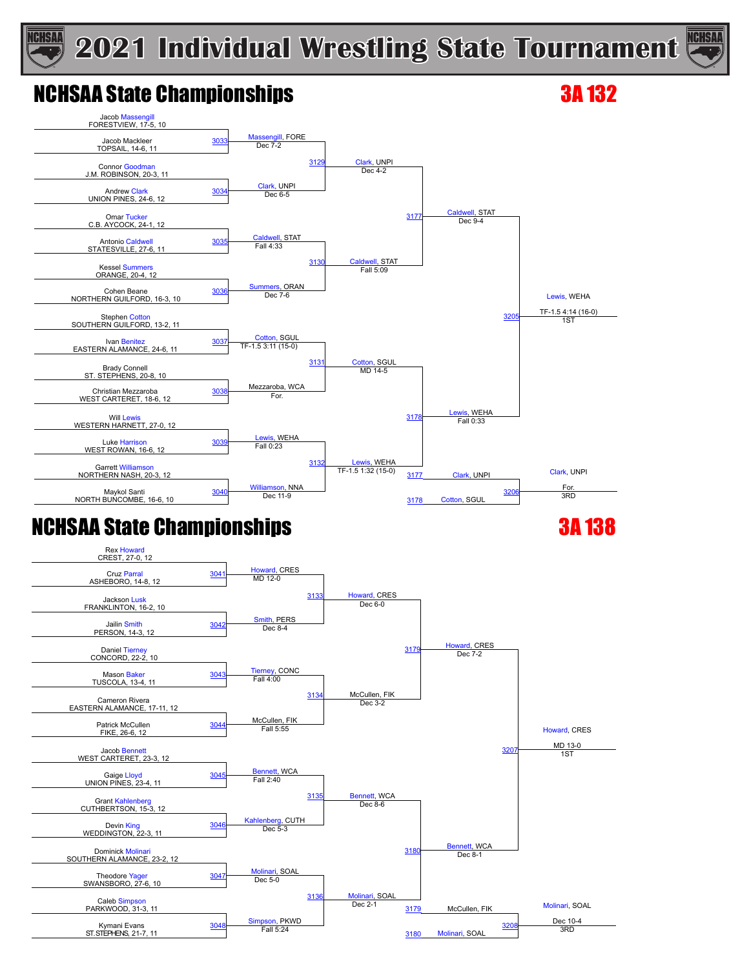

### NCHSAA State Championships 3A 132

**ICHSAA** 



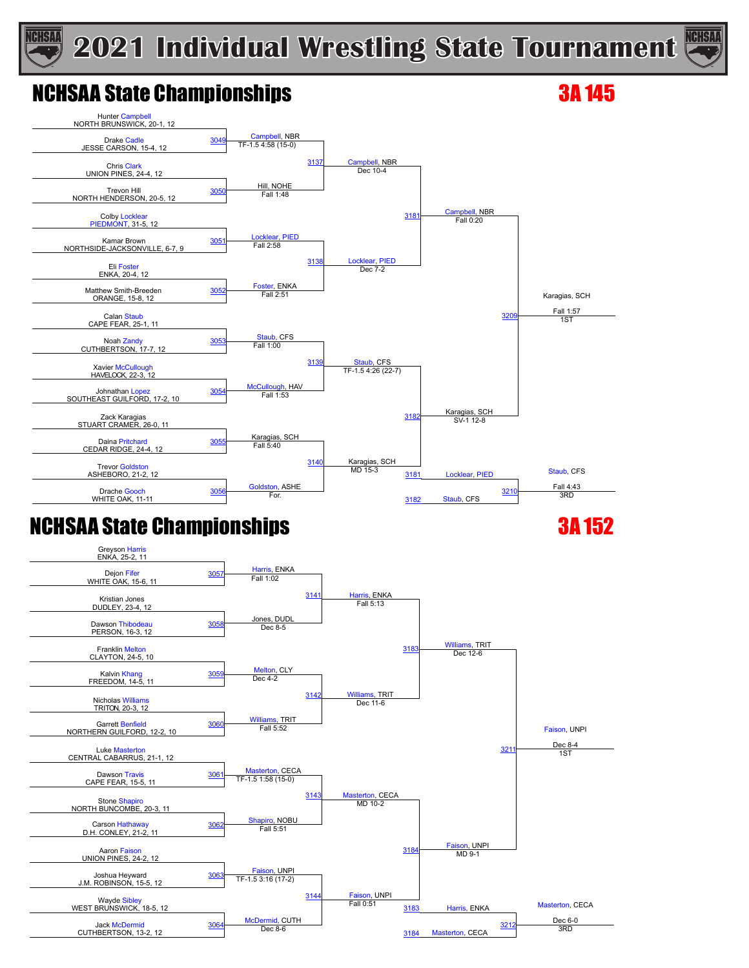



### NCHSAA State Championships 3A 145





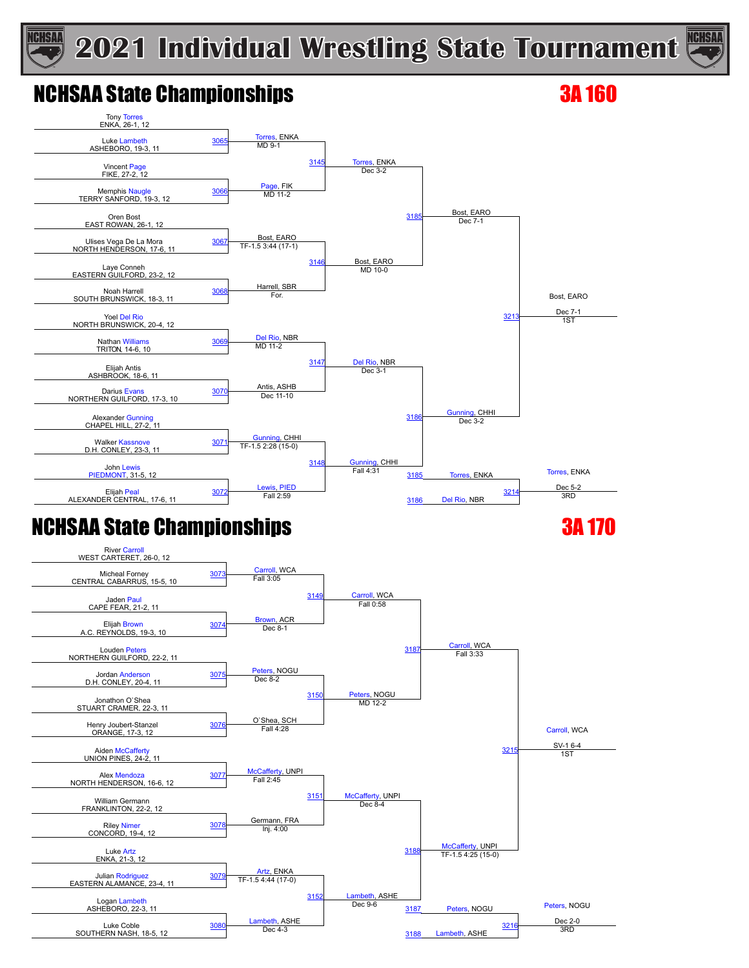

### NCHSAA State Championships 3A 160

**ICHSAA** 



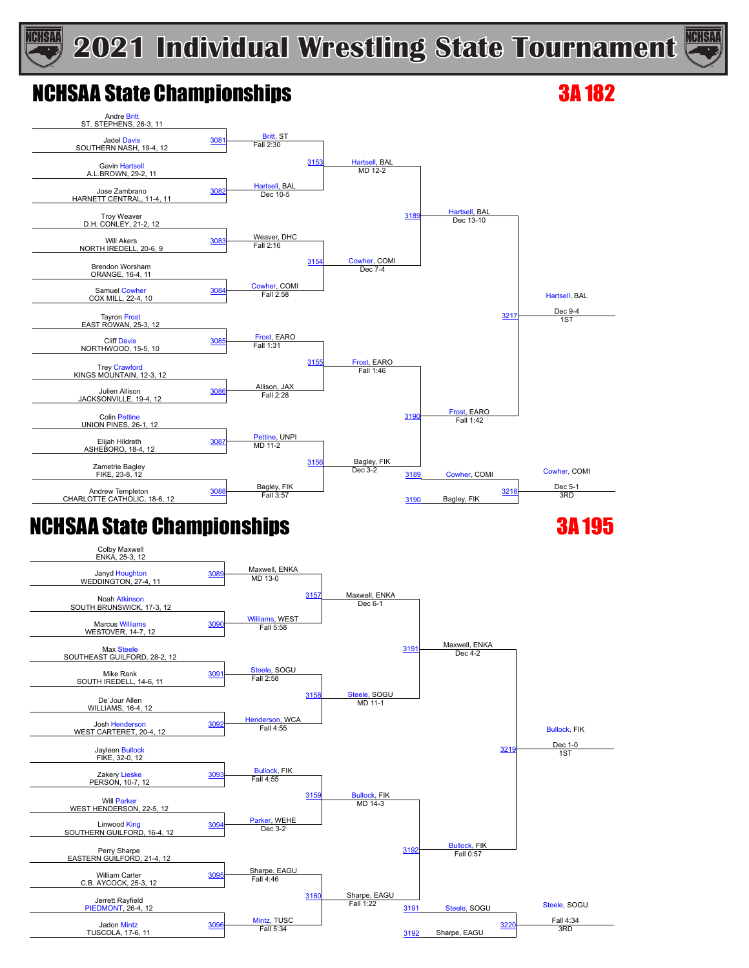# **ICHSAA**

### **2021 Individual Wrestling State Tournament**



### NCHSAA State Championships 3A 182